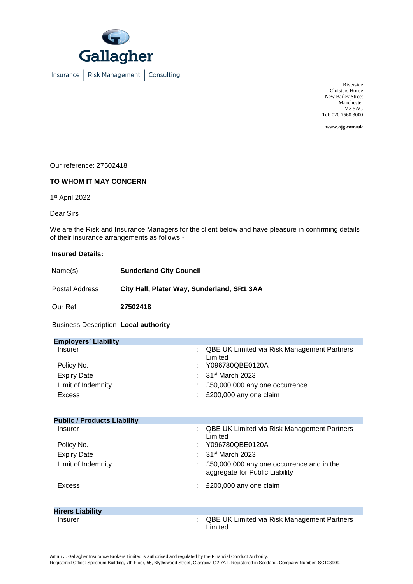

Insurance | Risk Management | Consulting

Riverside Cloisters House New Bailey Street Manchester M3 5AG Tel: 020 7560 3000

**www.ajg.com/uk**

Our reference: 27502418

## **TO WHOM IT MAY CONCERN**

1 st April 2022

Dear Sirs

We are the Risk and Insurance Managers for the client below and have pleasure in confirming details of their insurance arrangements as follows:-

## **Insured Details:**

| Name(s)        | <b>Sunderland City Council</b>             |
|----------------|--------------------------------------------|
| Postal Address | City Hall, Plater Way, Sunderland, SR1 3AA |
| Our Ref        | 27502418                                   |

Business Description **Local authority** 

| <b>Employers' Liability</b>        |   |                                                                             |
|------------------------------------|---|-----------------------------------------------------------------------------|
| Insurer                            | ÷ | <b>QBE UK Limited via Risk Management Partners</b><br>Limited               |
| Policy No.                         |   | Y096780QBE0120A                                                             |
| <b>Expiry Date</b>                 |   | 31 <sup>st</sup> March 2023                                                 |
| Limit of Indemnity                 |   | £50,000,000 any one occurrence                                              |
| Excess                             |   | £200,000 any one claim                                                      |
|                                    |   |                                                                             |
| <b>Public / Products Liability</b> |   |                                                                             |
| Insurer                            |   | QBE UK Limited via Risk Management Partners<br>Limited                      |
| Policy No.                         |   | Y096780QBE0120A                                                             |
| <b>Expiry Date</b>                 |   | 31 <sup>st</sup> March 2023                                                 |
| Limit of Indemnity                 |   | £50,000,000 any one occurrence and in the<br>aggregate for Public Liability |
| Excess                             |   | £200,000 any one claim                                                      |
|                                    |   |                                                                             |
| <b>Hirers Liability</b>            |   |                                                                             |
| Insurer                            | t | <b>QBE UK Limited via Risk Management Partners</b><br>Limited               |

Arthur J. Gallagher Insurance Brokers Limited is authorised and regulated by the Financial Conduct Authority. Registered Office: Spectrum Building, 7th Floor, 55, Blythswood Street, Glasgow, G2 7AT. Registered in Scotland. Company Number: SC108909.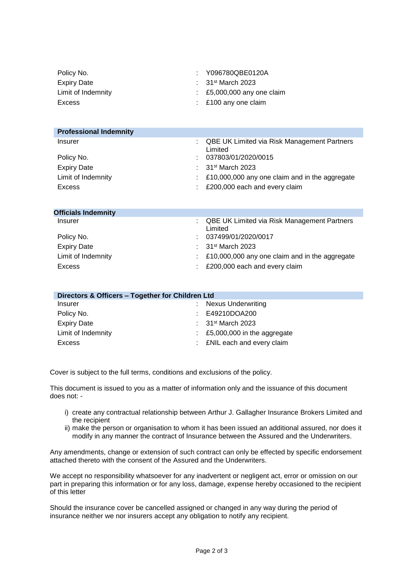| Policy No.         | : Y096780QBE0120A                        |
|--------------------|------------------------------------------|
| Expiry Date        | $\therefore$ 31 <sup>st</sup> March 2023 |
| Limit of Indemnity | $\pm 25,000,000$ any one claim           |
| Excess             | $\therefore$ £100 any one claim          |

| <b>Professional Indemnity</b> |                                                               |
|-------------------------------|---------------------------------------------------------------|
| Insurer                       | <b>QBE UK Limited via Risk Management Partners</b><br>Limited |
| Policy No.                    | 037803/01/2020/0015                                           |
| <b>Expiry Date</b>            | $\div$ 31 <sup>st</sup> March 2023                            |
| Limit of Indemnity            | £10,000,000 any one claim and in the aggregate                |
| Excess                        | £200,000 each and every claim                                 |

| <b>Officials Indemnity</b> |                                                          |
|----------------------------|----------------------------------------------------------|
| Insurer                    | : QBE UK Limited via Risk Management Partners<br>Limited |
| Policy No.                 | : 037499/01/2020/0017                                    |
| <b>Expiry Date</b>         | $\therefore$ 31 <sup>st</sup> March 2023                 |
| Limit of Indemnity         | $\pm$ £10,000,000 any one claim and in the aggregate     |
| Excess                     | $\pm 200,000$ each and every claim                       |

| Directors & Officers - Together for Children Ltd |  |                                          |  |  |  |
|--------------------------------------------------|--|------------------------------------------|--|--|--|
| Insurer                                          |  | <b>Nexus Underwriting</b>                |  |  |  |
| Policy No.                                       |  | E49210DOA200                             |  |  |  |
| <b>Expiry Date</b>                               |  | $\therefore$ 31 <sup>st</sup> March 2023 |  |  |  |
| Limit of Indemnity                               |  | $\pm 5,000,000$ in the aggregate         |  |  |  |
| Excess                                           |  | £NIL each and every claim                |  |  |  |

Cover is subject to the full terms, conditions and exclusions of the policy.

This document is issued to you as a matter of information only and the issuance of this document does not: -

- i) create any contractual relationship between Arthur J. Gallagher Insurance Brokers Limited and the recipient
- ii) make the person or organisation to whom it has been issued an additional assured, nor does it modify in any manner the contract of Insurance between the Assured and the Underwriters.

Any amendments, change or extension of such contract can only be effected by specific endorsement attached thereto with the consent of the Assured and the Underwriters.

We accept no responsibility whatsoever for any inadvertent or negligent act, error or omission on our part in preparing this information or for any loss, damage, expense hereby occasioned to the recipient of this letter

Should the insurance cover be cancelled assigned or changed in any way during the period of insurance neither we nor insurers accept any obligation to notify any recipient.